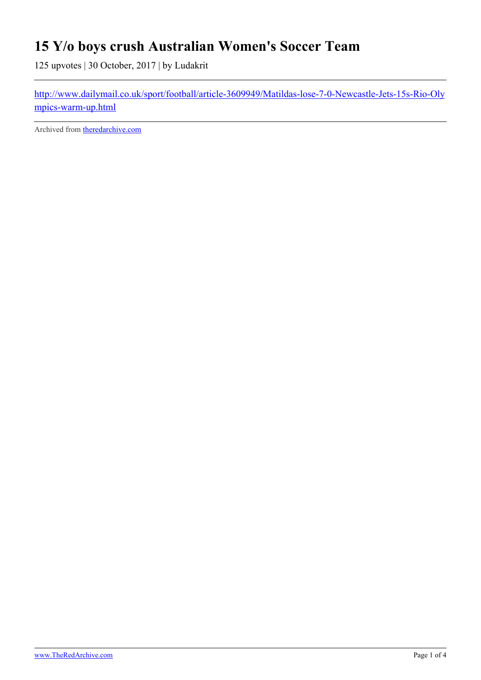## **15 Y/o boys crush Australian Women's Soccer Team**

125 upvotes | 30 October, 2017 | by Ludakrit

[http://www.dailymail.co.uk/sport/football/article-3609949/Matildas-lose-7-0-Newcastle-Jets-15s-Rio-Oly](http://www.dailymail.co.uk/sport/football/article-3609949/Matildas-lose-7-0-Newcastle-Jets-15s-Rio-Olympics-warm-up.html) [mpics-warm-up.html](http://www.dailymail.co.uk/sport/football/article-3609949/Matildas-lose-7-0-Newcastle-Jets-15s-Rio-Olympics-warm-up.html)

Archived from [theredarchive.com](https://theredarchive.com/r/MGTOW/15-yo-boys-crush-australian-womens-soccer-team.542216)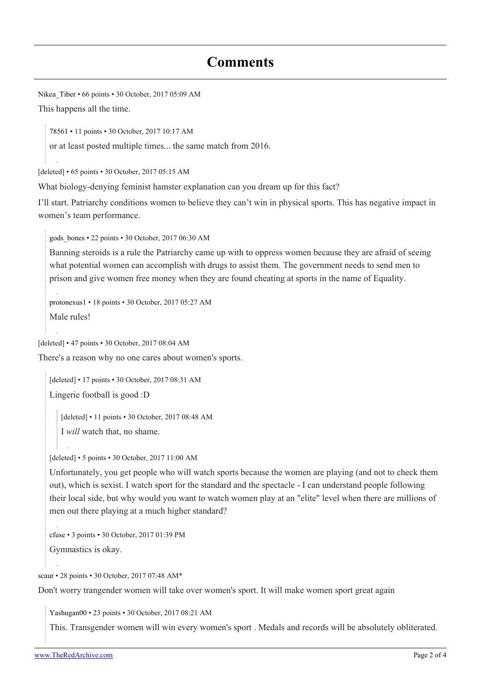## **Comments**

[Nikea\\_Tiber](https://old.reddit.com/user/Nikea_Tiber) • 66 points • 30 October, 2017 05:09 AM

This happens all the time.

[78561](https://old.reddit.com/user/78561) • 11 points • 30 October, 2017 10:17 AM

or at least posted multiple times... the same match from 2016.

[deleted] • 65 points • 30 October, 2017 05:15 AM

What biology-denying feminist hamster explanation can you dream up for this fact?

I'll start. Patriarchy conditions women to believe they can't win in physical sports. This has negative impact in women's team performance.

[gods\\_bones](https://old.reddit.com/user/gods_bones) • 22 points • 30 October, 2017 06:30 AM

Banning steroids is a rule the Patriarchy came up with to oppress women because they are afraid of seeing what potential women can accomplish with drugs to assist them. The government needs to send men to prison and give women free money when they are found cheating at sports in the name of Equality.

[protonexus1](https://old.reddit.com/user/protonexus1) • 18 points • 30 October, 2017 05:27 AM Male rules!

[deleted] • 47 points • 30 October, 2017 08:04 AM

There's a reason why no one cares about women's sports.

[deleted] • 17 points • 30 October, 2017 08:31 AM

Lingerie football is good :D

[deleted] • 11 points • 30 October, 2017 08:48 AM

I *will* watch that, no shame.

[deleted] • 5 points • 30 October, 2017 11:00 AM

Unfortunately, you get people who will watch sports because the women are playing (and not to check them out), which is sexist. I watch sport for the standard and the spectacle - I can understand people following their local side, but why would you want to watch women play at an "elite" level when there are millions of men out there playing at a much higher standard?

[cfuse](https://old.reddit.com/user/cfuse) • 3 points • 30 October, 2017 01:39 PM

Gymnastics is okay.

[scaur](https://old.reddit.com/user/scaur) • 28 points • 30 October, 2017 07:48 AM\*

Don't worry trangender women will take over women's sport. It will make women sport great again

[Yashugan00](https://old.reddit.com/user/Yashugan00) • 23 points • 30 October, 2017 08:21 AM

This. Transgender women will win every women's sport . Medals and records will be absolutely obliterated.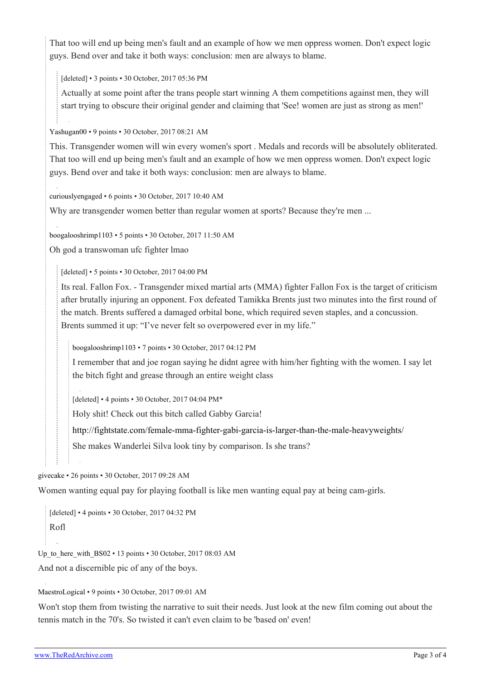That too will end up being men's fault and an example of how we men oppress women. Don't expect logic guys. Bend over and take it both ways: conclusion: men are always to blame.

[deleted] • 3 points • 30 October, 2017 05:36 PM

Actually at some point after the trans people start winning A them competitions against men, they will start trying to obscure their original gender and claiming that 'See! women are just as strong as men!'

[Yashugan00](https://old.reddit.com/user/Yashugan00) • 9 points • 30 October, 2017 08:21 AM

This. Transgender women will win every women's sport . Medals and records will be absolutely obliterated. That too will end up being men's fault and an example of how we men oppress women. Don't expect logic guys. Bend over and take it both ways: conclusion: men are always to blame.

[curiouslyengaged](https://old.reddit.com/user/curiouslyengaged) • 6 points • 30 October, 2017 10:40 AM

Why are transgender women better than regular women at sports? Because they're men ...

[boogalooshrimp1103](https://old.reddit.com/user/boogalooshrimp1103) • 5 points • 30 October, 2017 11:50 AM

Oh god a transwoman ufc fighter lmao

[deleted] • 5 points • 30 October, 2017 04:00 PM

Its real. Fallon Fox. - Transgender mixed martial arts (MMA) fighter Fallon Fox is the target of criticism after brutally injuring an opponent. Fox defeated Tamikka Brents just two minutes into the first round of the match. Brents suffered a damaged orbital bone, which required seven staples, and a concussion. Brents summed it up: "I've never felt so overpowered ever in my life."

[boogalooshrimp1103](https://old.reddit.com/user/boogalooshrimp1103) • 7 points • 30 October, 2017 04:12 PM

I remember that and joe rogan saying he didnt agree with him/her fighting with the women. I say let the bitch fight and grease through an entire weight class

[deleted] • 4 points • 30 October, 2017 04:04 PM\*

Holy shit! Check out this bitch called Gabby Garcia!

<http://fightstate.com/female-mma-fighter-gabi-garcia-is-larger-than-the-male-heavyweights/>

She makes Wanderlei Silva look tiny by comparison. Is she trans?

[givecake](https://old.reddit.com/user/givecake) • 26 points • 30 October, 2017 09:28 AM

Women wanting equal pay for playing football is like men wanting equal pay at being cam-girls.

[deleted] • 4 points • 30 October, 2017 04:32 PM Rofl

Up to here with  $BS02 \cdot 13$  points  $\cdot 30$  October, 2017 08:03 AM

And not a discernible pic of any of the boys.

## [MaestroLogical](https://old.reddit.com/user/MaestroLogical) • 9 points • 30 October, 2017 09:01 AM

Won't stop them from twisting the narrative to suit their needs. Just look at the new film coming out about the tennis match in the 70's. So twisted it can't even claim to be 'based on' even!